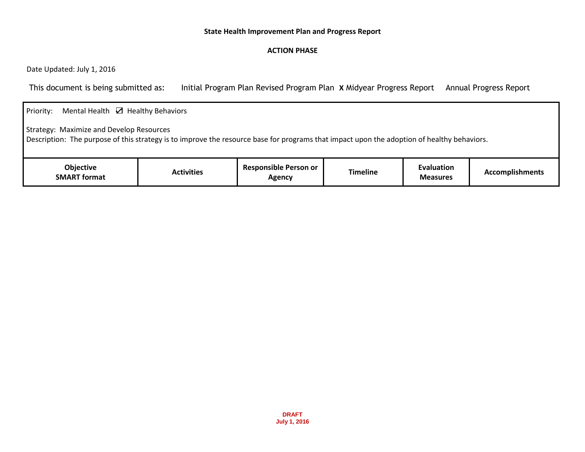## **State Health Improvement Plan and Progress Report**

## **ACTION PHASE**

Date Updated: July 1, 2016

This document is being submitted as: Initial Program Plan Revised Program Plan **X** Midyear Progress Report Annual Progress Report

| Mental Health $\boxtimes$ Healthy Behaviors<br>Priority:                                                                                                                               |                   |                                        |                 |                               |                        |  |  |
|----------------------------------------------------------------------------------------------------------------------------------------------------------------------------------------|-------------------|----------------------------------------|-----------------|-------------------------------|------------------------|--|--|
| Strategy: Maximize and Develop Resources<br>Description: The purpose of this strategy is to improve the resource base for programs that impact upon the adoption of healthy behaviors. |                   |                                        |                 |                               |                        |  |  |
| <b>Objective</b><br><b>SMART format</b>                                                                                                                                                | <b>Activities</b> | <b>Responsible Person or</b><br>Agency | <b>Timeline</b> | Evaluation<br><b>Measures</b> | <b>Accomplishments</b> |  |  |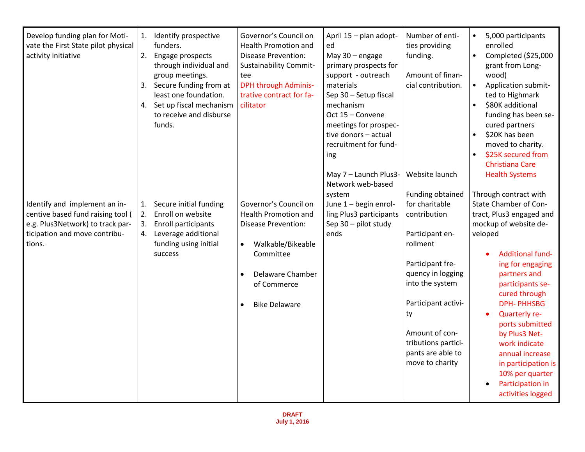| Develop funding plan for Moti-<br>vate the First State pilot physical<br>activity initiative                                                      | 1.<br>2.             | Identify prospective<br>funders.<br>Engage prospects<br>through individual and<br>group meetings.<br>3. Secure funding from at<br>least one foundation.<br>4. Set up fiscal mechanism<br>to receive and disburse<br>funds. | Governor's Council on<br><b>Health Promotion and</b><br><b>Disease Prevention:</b><br><b>Sustainability Commit-</b><br>tee<br><b>DPH through Adminis-</b><br>trative contract for fa-<br>cilitator                     | April 15 - plan adopt-<br>ed<br>May 30 - engage<br>primary prospects for<br>support - outreach<br>materials<br>Sep 30 - Setup fiscal<br>mechanism<br>Oct 15 - Convene<br>meetings for prospec-<br>tive donors - actual<br>recruitment for fund-<br>ing | Number of enti-<br>ties providing<br>funding.<br>Amount of finan-<br>cial contribution.                                                                                                                                                                                       | 5,000 participants<br>enrolled<br>Completed (\$25,000<br>grant from Long-<br>wood)<br>Application submit-<br>ted to Highmark<br>\$80K additional<br>funding has been se-<br>cured partners<br>\$20K has been<br>moved to charity.<br>\$25K secured from<br><b>Christiana Care</b>                                                                                                                                                            |
|---------------------------------------------------------------------------------------------------------------------------------------------------|----------------------|----------------------------------------------------------------------------------------------------------------------------------------------------------------------------------------------------------------------------|------------------------------------------------------------------------------------------------------------------------------------------------------------------------------------------------------------------------|--------------------------------------------------------------------------------------------------------------------------------------------------------------------------------------------------------------------------------------------------------|-------------------------------------------------------------------------------------------------------------------------------------------------------------------------------------------------------------------------------------------------------------------------------|----------------------------------------------------------------------------------------------------------------------------------------------------------------------------------------------------------------------------------------------------------------------------------------------------------------------------------------------------------------------------------------------------------------------------------------------|
| Identify and implement an in-<br>centive based fund raising tool (<br>e.g. Plus3Network) to track par-<br>ticipation and move contribu-<br>tions. | 1.<br>2.<br>3.<br>4. | Secure initial funding<br>Enroll on website<br>Enroll participants<br>Leverage additional<br>funding using initial<br>success                                                                                              | Governor's Council on<br><b>Health Promotion and</b><br><b>Disease Prevention:</b><br>Walkable/Bikeable<br>$\bullet$<br>Committee<br>Delaware Chamber<br>$\bullet$<br>of Commerce<br><b>Bike Delaware</b><br>$\bullet$ | May 7 - Launch Plus3-<br>Network web-based<br>system<br>June 1 - begin enrol-<br>ling Plus3 participants<br>Sep 30 - pilot study<br>ends                                                                                                               | Website launch<br>Funding obtained<br>for charitable<br>contribution<br>Participant en-<br>rollment<br>Participant fre-<br>quency in logging<br>into the system<br>Participant activi-<br>ty<br>Amount of con-<br>tributions partici-<br>pants are able to<br>move to charity | <b>Health Systems</b><br>Through contract with<br>State Chamber of Con-<br>tract, Plus3 engaged and<br>mockup of website de-<br>veloped<br><b>Additional fund-</b><br>ing for engaging<br>partners and<br>participants se-<br>cured through<br><b>DPH-PHHSBG</b><br>Quarterly re-<br>ports submitted<br>by Plus3 Net-<br>work indicate<br>annual increase<br>in participation is<br>10% per quarter<br>Participation in<br>activities logged |